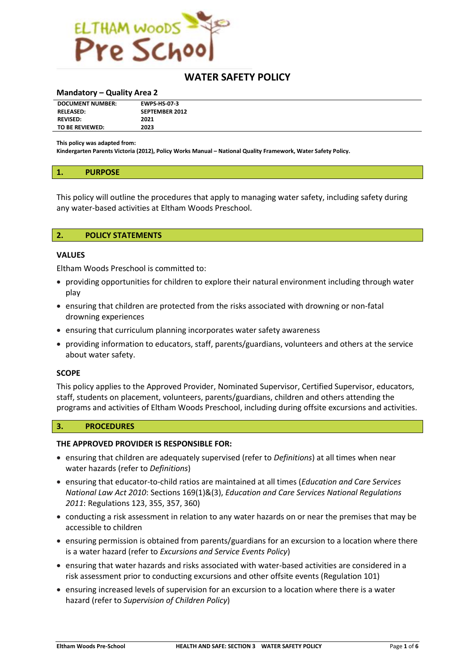

## **WATER SAFETY POLICY**

#### **Mandatory – Quality Area 2**

| <b>DOCUMENT NUMBER:</b> | <b>EWPS-HS-07-3</b>   |
|-------------------------|-----------------------|
| <b>RELEASED:</b>        | <b>SEPTEMBER 2012</b> |
| <b>REVISED:</b>         | 2021                  |
| TO BE REVIEWED:         | 2023                  |

**This policy was adapted from:**

**Kindergarten Parents Victoria (2012), Policy Works Manual – National Quality Framework, Water Safety Policy.**

#### **1. PURPOSE**

This policy will outline the procedures that apply to managing water safety, including safety during any water-based activities at Eltham Woods Preschool.

#### **2. POLICY STATEMENTS**

#### **VALUES**

Eltham Woods Preschool is committed to:

- providing opportunities for children to explore their natural environment including through water play
- ensuring that children are protected from the risks associated with drowning or non-fatal drowning experiences
- ensuring that curriculum planning incorporates water safety awareness
- providing information to educators, staff, parents/guardians, volunteers and others at the service about water safety.

#### **SCOPE**

This policy applies to the Approved Provider, Nominated Supervisor, Certified Supervisor, educators, staff, students on placement, volunteers, parents/guardians, children and others attending the programs and activities of Eltham Woods Preschool, including during offsite excursions and activities.

#### **3. PROCEDURES**

#### **THE APPROVED PROVIDER IS RESPONSIBLE FOR:**

- ensuring that children are adequately supervised (refer to *Definitions*) at all times when near water hazards (refer to *Definitions*)
- ensuring that educator-to-child ratios are maintained at all times (*Education and Care Services National Law Act 2010*: Sections 169(1)&(3), *Education and Care Services National Regulations 2011*: Regulations 123, 355, 357, 360)
- conducting a risk assessment in relation to any water hazards on or near the premises that may be accessible to children
- ensuring permission is obtained from parents/guardians for an excursion to a location where there is a water hazard (refer to *Excursions and Service Events Policy*)
- ensuring that water hazards and risks associated with water-based activities are considered in a risk assessment prior to conducting excursions and other offsite events (Regulation 101)
- ensuring increased levels of supervision for an excursion to a location where there is a water hazard (refer to *Supervision of Children Policy*)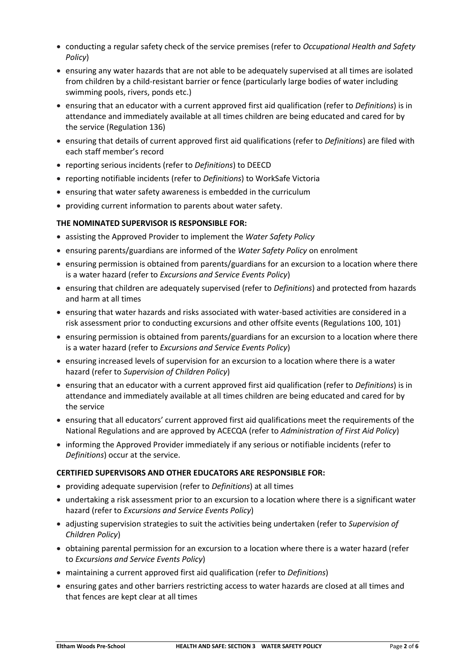- conducting a regular safety check of the service premises (refer to *Occupational Health and Safety Policy*)
- ensuring any water hazards that are not able to be adequately supervised at all times are isolated from children by a child-resistant barrier or fence (particularly large bodies of water including swimming pools, rivers, ponds etc.)
- ensuring that an educator with a current approved first aid qualification (refer to *Definitions*) is in attendance and immediately available at all times children are being educated and cared for by the service (Regulation 136)
- ensuring that details of current approved first aid qualifications (refer to *Definitions*) are filed with each staff member's record
- reporting serious incidents (refer to *Definitions*) to DEECD
- reporting notifiable incidents (refer to *Definitions*) to WorkSafe Victoria
- ensuring that water safety awareness is embedded in the curriculum
- providing current information to parents about water safety.

## **THE NOMINATED SUPERVISOR IS RESPONSIBLE FOR:**

- assisting the Approved Provider to implement the *Water Safety Policy*
- ensuring parents/guardians are informed of the *Water Safety Policy* on enrolment
- ensuring permission is obtained from parents/guardians for an excursion to a location where there is a water hazard (refer to *Excursions and Service Events Policy*)
- ensuring that children are adequately supervised (refer to *Definitions*) and protected from hazards and harm at all times
- ensuring that water hazards and risks associated with water-based activities are considered in a risk assessment prior to conducting excursions and other offsite events (Regulations 100, 101)
- ensuring permission is obtained from parents/guardians for an excursion to a location where there is a water hazard (refer to *Excursions and Service Events Policy*)
- ensuring increased levels of supervision for an excursion to a location where there is a water hazard (refer to *Supervision of Children Policy*)
- ensuring that an educator with a current approved first aid qualification (refer to *Definitions*) is in attendance and immediately available at all times children are being educated and cared for by the service
- ensuring that all educators' current approved first aid qualifications meet the requirements of the National Regulations and are approved by ACECQA (refer to *Administration of First Aid Policy*)
- informing the Approved Provider immediately if any serious or notifiable incidents (refer to *Definitions*) occur at the service.

## **CERTIFIED SUPERVISORS AND OTHER EDUCATORS ARE RESPONSIBLE FOR:**

- providing adequate supervision (refer to *Definitions*) at all times
- undertaking a risk assessment prior to an excursion to a location where there is a significant water hazard (refer to *Excursions and Service Events Policy*)
- adjusting supervision strategies to suit the activities being undertaken (refer to *Supervision of Children Policy*)
- obtaining parental permission for an excursion to a location where there is a water hazard (refer to *Excursions and Service Events Policy*)
- maintaining a current approved first aid qualification (refer to *Definitions*)
- ensuring gates and other barriers restricting access to water hazards are closed at all times and that fences are kept clear at all times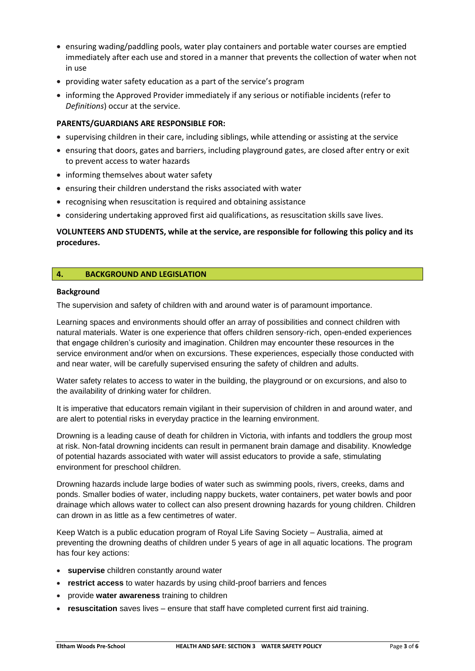- ensuring wading/paddling pools, water play containers and portable water courses are emptied immediately after each use and stored in a manner that prevents the collection of water when not in use
- providing water safety education as a part of the service's program
- informing the Approved Provider immediately if any serious or notifiable incidents (refer to *Definitions*) occur at the service.

## **PARENTS/GUARDIANS ARE RESPONSIBLE FOR:**

- supervising children in their care, including siblings, while attending or assisting at the service
- ensuring that doors, gates and barriers, including playground gates, are closed after entry or exit to prevent access to water hazards
- informing themselves about water safety
- ensuring their children understand the risks associated with water
- recognising when resuscitation is required and obtaining assistance
- considering undertaking approved first aid qualifications, as resuscitation skills save lives.

## **VOLUNTEERS AND STUDENTS, while at the service, are responsible for following this policy and its procedures.**

## **4. BACKGROUND AND LEGISLATION**

## **Background**

The supervision and safety of children with and around water is of paramount importance.

Learning spaces and environments should offer an array of possibilities and connect children with natural materials. Water is one experience that offers children sensory-rich, open-ended experiences that engage children's curiosity and imagination. Children may encounter these resources in the service environment and/or when on excursions. These experiences, especially those conducted with and near water, will be carefully supervised ensuring the safety of children and adults.

Water safety relates to access to water in the building, the playground or on excursions, and also to the availability of drinking water for children.

It is imperative that educators remain vigilant in their supervision of children in and around water, and are alert to potential risks in everyday practice in the learning environment.

Drowning is a leading cause of death for children in Victoria, with infants and toddlers the group most at risk. Non-fatal drowning incidents can result in permanent brain damage and disability. Knowledge of potential hazards associated with water will assist educators to provide a safe, stimulating environment for preschool children.

Drowning hazards include large bodies of water such as swimming pools, rivers, creeks, dams and ponds. Smaller bodies of water, including nappy buckets, water containers, pet water bowls and poor drainage which allows water to collect can also present drowning hazards for young children. Children can drown in as little as a few centimetres of water.

Keep Watch is a public education program of Royal Life Saving Society – Australia, aimed at preventing the drowning deaths of children under 5 years of age in all aquatic locations. The program has four key actions:

- **supervise** children constantly around water
- **restrict access** to water hazards by using child-proof barriers and fences
- provide **water awareness** training to children
- **resuscitation** saves lives ensure that staff have completed current first aid training.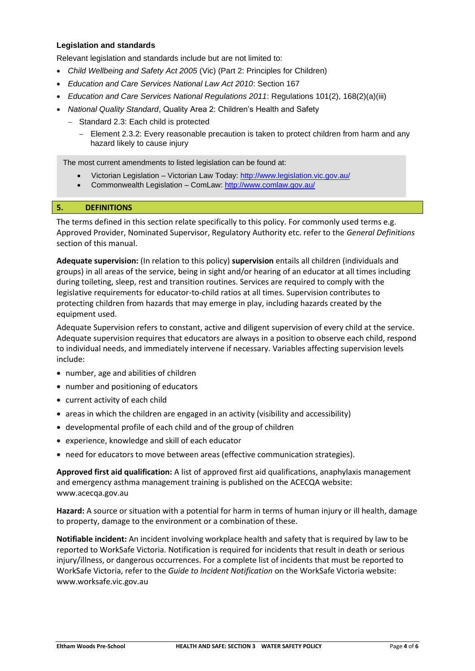## **Legislation and standards**

Relevant legislation and standards include but are not limited to:

- *Child Wellbeing and Safety Act 2005* (Vic) (Part 2: Principles for Children)
- *Education and Care Services National Law Act 2010*: Section 167
- *Education and Care Services National Regulations 2011*: Regulations 101(2), 168(2)(a)(iii)
- *National Quality Standard*, Quality Area 2: Children's Health and Safety
	- − Standard 2.3: Each child is protected
		- Element 2.3.2: Every reasonable precaution is taken to protect children from harm and any hazard likely to cause injury

The most current amendments to listed legislation can be found at:

- Victorian Legislation Victorian Law Today:<http://www.legislation.vic.gov.au/>
- Commonwealth Legislation ComLaw:<http://www.comlaw.gov.au/>

## **5. DEFINITIONS**

The terms defined in this section relate specifically to this policy. For commonly used terms e.g. Approved Provider, Nominated Supervisor, Regulatory Authority etc. refer to the *General Definitions* section of this manual.

**Adequate supervision:** (In relation to this policy) **supervision** entails all children (individuals and groups) in all areas of the service, being in sight and/or hearing of an educator at all times including during toileting, sleep, rest and transition routines. Services are required to comply with the legislative requirements for educator-to-child ratios at all times. Supervision contributes to protecting children from hazards that may emerge in play, including hazards created by the equipment used.

Adequate Supervision refers to constant, active and diligent supervision of every child at the service. Adequate supervision requires that educators are always in a position to observe each child, respond to individual needs, and immediately intervene if necessary. Variables affecting supervision levels include:

- number, age and abilities of children
- number and positioning of educators
- current activity of each child
- areas in which the children are engaged in an activity (visibility and accessibility)
- developmental profile of each child and of the group of children
- experience, knowledge and skill of each educator
- need for educators to move between areas (effective communication strategies).

**Approved first aid qualification:** A list of approved first aid qualifications, anaphylaxis management and emergency asthma management training is published on the ACECQA website: www.acecqa.gov.au

**Hazard:** A source or situation with a potential for harm in terms of human injury or ill health, damage to property, damage to the environment or a combination of these.

**Notifiable incident:** An incident involving workplace health and safety that is required by law to be reported to WorkSafe Victoria. Notification is required for incidents that result in death or serious injury/illness, or dangerous occurrences. For a complete list of incidents that must be reported to WorkSafe Victoria, refer to the *Guide to Incident Notification* on the WorkSafe Victoria website: www.worksafe.vic.gov.au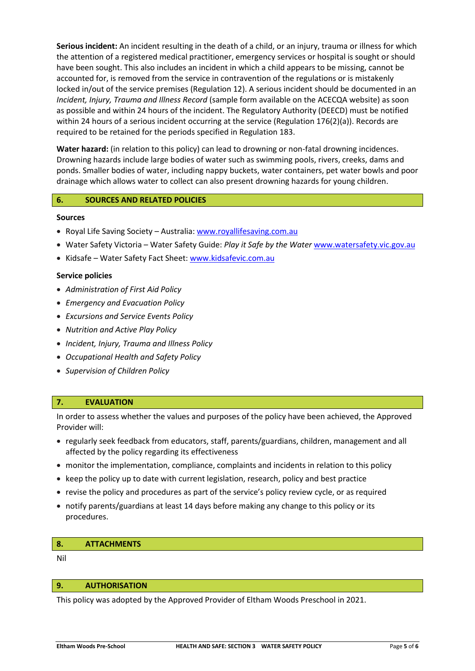**Serious incident:** An incident resulting in the death of a child, or an injury, trauma or illness for which the attention of a registered medical practitioner, emergency services or hospital is sought or should have been sought. This also includes an incident in which a child appears to be missing, cannot be accounted for, is removed from the service in contravention of the regulations or is mistakenly locked in/out of the service premises (Regulation 12). A serious incident should be documented in an *Incident, Injury, Trauma and Illness Record* (sample form available on the ACECQA website) as soon as possible and within 24 hours of the incident. The Regulatory Authority (DEECD) must be notified within 24 hours of a serious incident occurring at the service (Regulation 176(2)(a)). Records are required to be retained for the periods specified in Regulation 183.

**Water hazard:** (in relation to this policy) can lead to drowning or non-fatal drowning incidences. Drowning hazards include large bodies of water such as swimming pools, rivers, creeks, dams and ponds. Smaller bodies of water, including nappy buckets, water containers, pet water bowls and poor drainage which allows water to collect can also present drowning hazards for young children.

## **6. SOURCES AND RELATED POLICIES**

## **Sources**

- Royal Life Saving Society Australia[: www.royallifesaving.com.au](http://www.royallifesaving.com.au/)
- Water Safety Victoria Water Safety Guide: *Play it Safe by the Water* [www.watersafety.vic.gov.au](http://www.watersafety.vic.gov.au/)
- Kidsafe Water Safety Fact Sheet: [www.kidsafevic.com.au](http://www.kidsafevic.com.au/)

## **Service policies**

- *Administration of First Aid Policy*
- *Emergency and Evacuation Policy*
- *Excursions and Service Events Policy*
- *Nutrition and Active Play Policy*
- *Incident, Injury, Trauma and Illness Policy*
- *Occupational Health and Safety Policy*
- *Supervision of Children Policy*

## **7. EVALUATION**

In order to assess whether the values and purposes of the policy have been achieved, the Approved Provider will:

- regularly seek feedback from educators, staff, parents/guardians, children, management and all affected by the policy regarding its effectiveness
- monitor the implementation, compliance, complaints and incidents in relation to this policy
- keep the policy up to date with current legislation, research, policy and best practice
- revise the policy and procedures as part of the service's policy review cycle, or as required
- notify parents/guardians at least 14 days before making any change to this policy or its procedures.

#### **8. ATTACHMENTS**

Nil

#### **9. AUTHORISATION**

This policy was adopted by the Approved Provider of Eltham Woods Preschool in 2021.